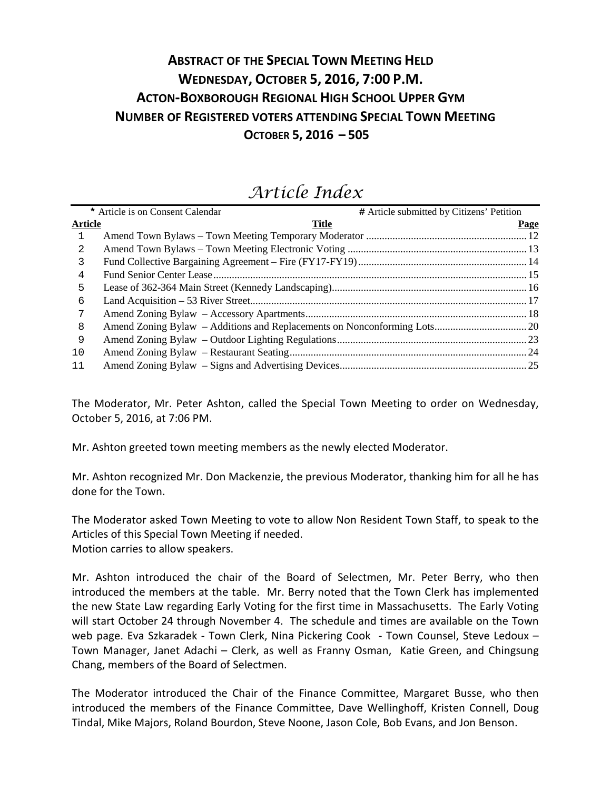# **ABSTRACT OF THE SPECIAL TOWN MEETING HELD WEDNESDAY, OCTOBER 5, 2016, 7:00 P.M. ACTON-BOXBOROUGH REGIONAL HIGH SCHOOL UPPER GYM NUMBER OF REGISTERED VOTERS ATTENDING SPECIAL TOWN MEETING OCTOBER 5, 2016 – 505**

|                | * Article is on Consent Calendar | # Article submitted by Citizens' Petition |
|----------------|----------------------------------|-------------------------------------------|
| <b>Article</b> | <b>Title</b>                     | Page                                      |
| 1              |                                  |                                           |
| 2              |                                  |                                           |
| 3              |                                  |                                           |
| 4              |                                  |                                           |
| 5              |                                  |                                           |
| 6              |                                  |                                           |
| 7              |                                  |                                           |
| 8              |                                  |                                           |
| 9              |                                  |                                           |
| 10             |                                  |                                           |
| 11             |                                  |                                           |
|                |                                  |                                           |

# *Article Index*

The Moderator, Mr. Peter Ashton, called the Special Town Meeting to order on Wednesday, October 5, 2016, at 7:06 PM.

Mr. Ashton greeted town meeting members as the newly elected Moderator.

Mr. Ashton recognized Mr. Don Mackenzie, the previous Moderator, thanking him for all he has done for the Town.

The Moderator asked Town Meeting to vote to allow Non Resident Town Staff, to speak to the Articles of this Special Town Meeting if needed. Motion carries to allow speakers.

Mr. Ashton introduced the chair of the Board of Selectmen, Mr. Peter Berry, who then introduced the members at the table. Mr. Berry noted that the Town Clerk has implemented the new State Law regarding Early Voting for the first time in Massachusetts. The Early Voting will start October 24 through November 4. The schedule and times are available on the Town web page. Eva Szkaradek - Town Clerk, Nina Pickering Cook - Town Counsel, Steve Ledoux -Town Manager, Janet Adachi – Clerk, as well as Franny Osman, Katie Green, and Chingsung Chang, members of the Board of Selectmen.

The Moderator introduced the Chair of the Finance Committee, Margaret Busse, who then introduced the members of the Finance Committee, Dave Wellinghoff, Kristen Connell, Doug Tindal, Mike Majors, Roland Bourdon, Steve Noone, Jason Cole, Bob Evans, and Jon Benson.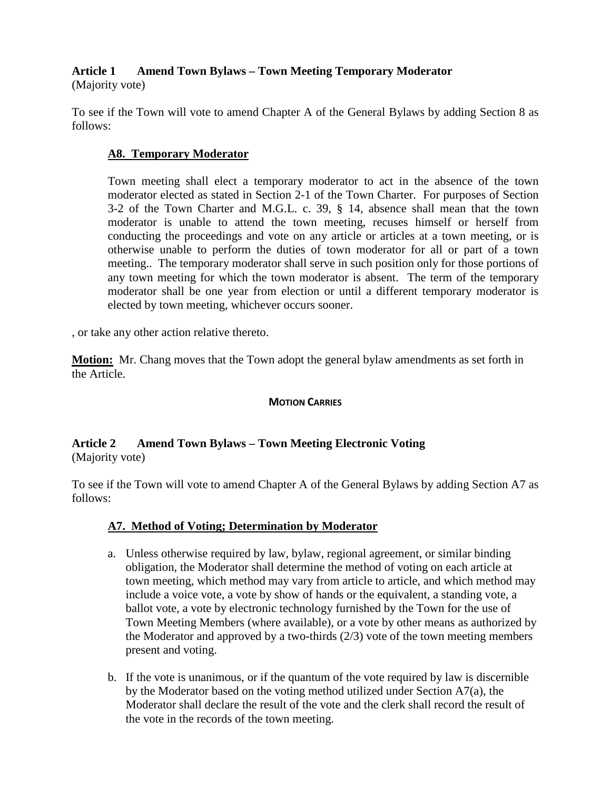# **Article 1 Amend Town Bylaws – Town Meeting Temporary Moderator**

(Majority vote)

To see if the Town will vote to amend Chapter A of the General Bylaws by adding Section 8 as follows:

# **A8. Temporary Moderator**

Town meeting shall elect a temporary moderator to act in the absence of the town moderator elected as stated in Section 2-1 of the Town Charter. For purposes of Section 3-2 of the Town Charter and M.G.L. c. 39, § 14, absence shall mean that the town moderator is unable to attend the town meeting, recuses himself or herself from conducting the proceedings and vote on any article or articles at a town meeting, or is otherwise unable to perform the duties of town moderator for all or part of a town meeting.. The temporary moderator shall serve in such position only for those portions of any town meeting for which the town moderator is absent. The term of the temporary moderator shall be one year from election or until a different temporary moderator is elected by town meeting, whichever occurs sooner.

, or take any other action relative thereto.

**Motion:** Mr. Chang moves that the Town adopt the general bylaw amendments as set forth in the Article.

# **MOTION CARRIES**

# **Article 2 Amend Town Bylaws – Town Meeting Electronic Voting** (Majority vote)

To see if the Town will vote to amend Chapter A of the General Bylaws by adding Section A7 as follows:

# **A7. Method of Voting; Determination by Moderator**

- a. Unless otherwise required by law, bylaw, regional agreement, or similar binding obligation, the Moderator shall determine the method of voting on each article at town meeting, which method may vary from article to article, and which method may include a voice vote, a vote by show of hands or the equivalent, a standing vote, a ballot vote, a vote by electronic technology furnished by the Town for the use of Town Meeting Members (where available), or a vote by other means as authorized by the Moderator and approved by a two-thirds (2/3) vote of the town meeting members present and voting.
- b. If the vote is unanimous, or if the quantum of the vote required by law is discernible by the Moderator based on the voting method utilized under Section A7(a), the Moderator shall declare the result of the vote and the clerk shall record the result of the vote in the records of the town meeting.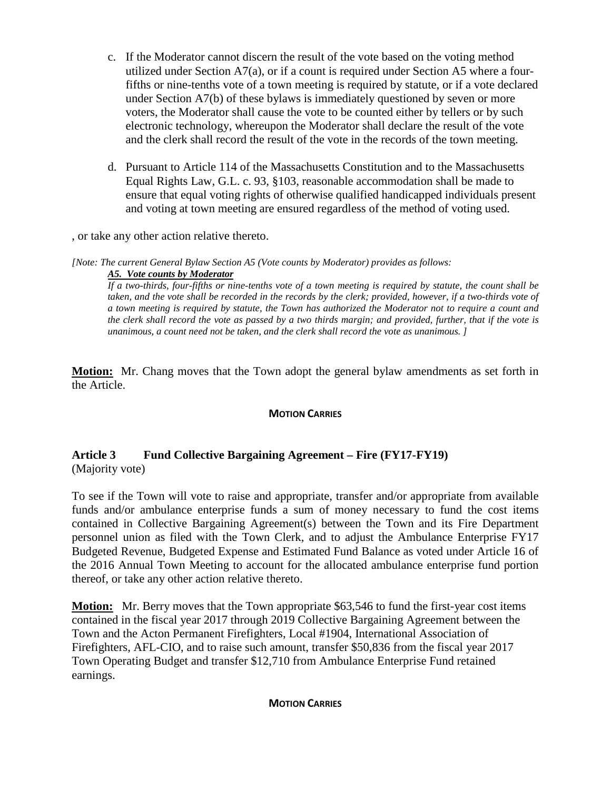- c. If the Moderator cannot discern the result of the vote based on the voting method utilized under Section  $A7(a)$ , or if a count is required under Section A5 where a fourfifths or nine-tenths vote of a town meeting is required by statute, or if a vote declared under Section A7(b) of these bylaws is immediately questioned by seven or more voters, the Moderator shall cause the vote to be counted either by tellers or by such electronic technology, whereupon the Moderator shall declare the result of the vote and the clerk shall record the result of the vote in the records of the town meeting.
- d. Pursuant to Article 114 of the Massachusetts Constitution and to the Massachusetts Equal Rights Law, G.L. c. 93, §103, reasonable accommodation shall be made to ensure that equal voting rights of otherwise qualified handicapped individuals present and voting at town meeting are ensured regardless of the method of voting used.

, or take any other action relative thereto.

*[Note: The current General Bylaw Section A5 (Vote counts by Moderator) provides as follows:*

*A5. Vote counts by Moderator*

*If a two-thirds, four-fifths or nine-tenths vote of a town meeting is required by statute, the count shall be taken, and the vote shall be recorded in the records by the clerk; provided, however, if a two-thirds vote of a town meeting is required by statute, the Town has authorized the Moderator not to require a count and the clerk shall record the vote as passed by a two thirds margin; and provided, further, that if the vote is unanimous, a count need not be taken, and the clerk shall record the vote as unanimous. ]*

**Motion:** Mr. Chang moves that the Town adopt the general bylaw amendments as set forth in the Article.

### **MOTION CARRIES**

# **Article 3 Fund Collective Bargaining Agreement – Fire (FY17-FY19)** (Majority vote)

To see if the Town will vote to raise and appropriate, transfer and/or appropriate from available funds and/or ambulance enterprise funds a sum of money necessary to fund the cost items contained in Collective Bargaining Agreement(s) between the Town and its Fire Department personnel union as filed with the Town Clerk, and to adjust the Ambulance Enterprise FY17 Budgeted Revenue, Budgeted Expense and Estimated Fund Balance as voted under Article 16 of the 2016 Annual Town Meeting to account for the allocated ambulance enterprise fund portion thereof, or take any other action relative thereto.

**Motion:** Mr. Berry moves that the Town appropriate \$63,546 to fund the first-year cost items contained in the fiscal year 2017 through 2019 Collective Bargaining Agreement between the Town and the Acton Permanent Firefighters, Local #1904, International Association of Firefighters, AFL-CIO, and to raise such amount, transfer \$50,836 from the fiscal year 2017 Town Operating Budget and transfer \$12,710 from Ambulance Enterprise Fund retained earnings.

#### **MOTION CARRIES**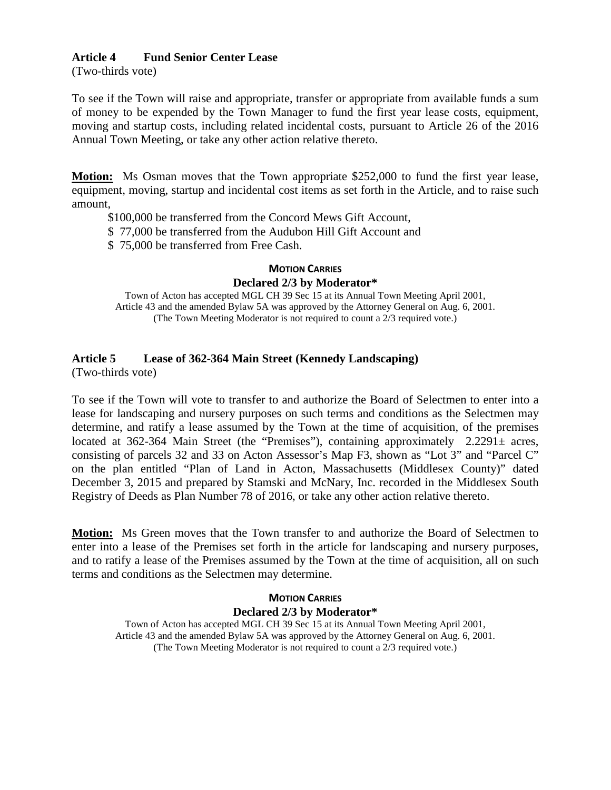### **Article 4 Fund Senior Center Lease**

(Two-thirds vote)

To see if the Town will raise and appropriate, transfer or appropriate from available funds a sum of money to be expended by the Town Manager to fund the first year lease costs, equipment, moving and startup costs, including related incidental costs, pursuant to Article 26 of the 2016 Annual Town Meeting, or take any other action relative thereto.

**Motion:** Ms Osman moves that the Town appropriate \$252,000 to fund the first year lease, equipment, moving, startup and incidental cost items as set forth in the Article, and to raise such amount,

\$100,000 be transferred from the Concord Mews Gift Account,

\$ 77,000 be transferred from the Audubon Hill Gift Account and

\$ 75,000 be transferred from Free Cash.

#### **MOTION CARRIES**

#### **Declared 2/3 by Moderator\***

Town of Acton has accepted MGL CH 39 Sec 15 at its Annual Town Meeting April 2001, Article 43 and the amended Bylaw 5A was approved by the Attorney General on Aug. 6, 2001. (The Town Meeting Moderator is not required to count a 2/3 required vote.)

# **Article 5 Lease of 362-364 Main Street (Kennedy Landscaping)**

(Two-thirds vote)

To see if the Town will vote to transfer to and authorize the Board of Selectmen to enter into a lease for landscaping and nursery purposes on such terms and conditions as the Selectmen may determine, and ratify a lease assumed by the Town at the time of acquisition, of the premises located at 362-364 Main Street (the "Premises"), containing approximately 2.2291 $\pm$  acres, consisting of parcels 32 and 33 on Acton Assessor's Map F3, shown as "Lot 3" and "Parcel C" on the plan entitled "Plan of Land in Acton, Massachusetts (Middlesex County)" dated December 3, 2015 and prepared by Stamski and McNary, Inc. recorded in the Middlesex South Registry of Deeds as Plan Number 78 of 2016, or take any other action relative thereto.

**Motion:** Ms Green moves that the Town transfer to and authorize the Board of Selectmen to enter into a lease of the Premises set forth in the article for landscaping and nursery purposes, and to ratify a lease of the Premises assumed by the Town at the time of acquisition, all on such terms and conditions as the Selectmen may determine.

# **MOTION CARRIES Declared 2/3 by Moderator\***

Town of Acton has accepted MGL CH 39 Sec 15 at its Annual Town Meeting April 2001, Article 43 and the amended Bylaw 5A was approved by the Attorney General on Aug. 6, 2001. (The Town Meeting Moderator is not required to count a 2/3 required vote.)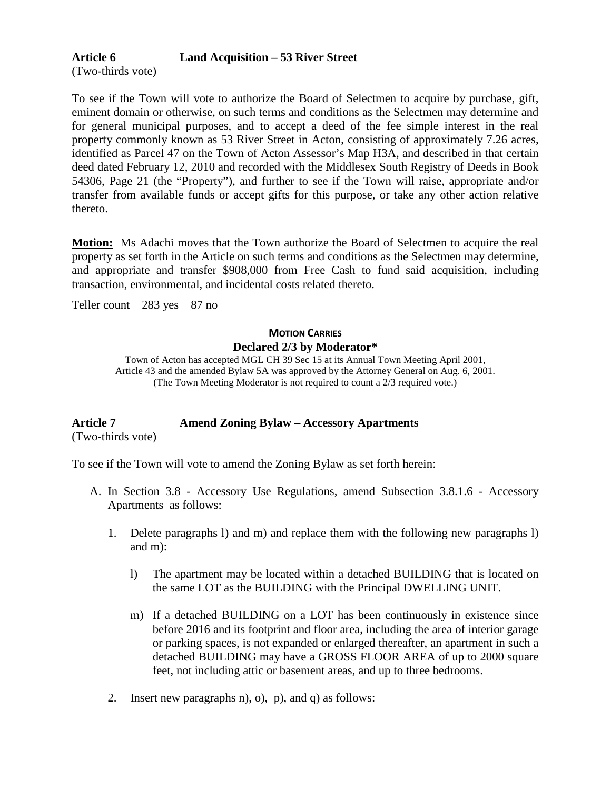# **Article 6 Land Acquisition – 53 River Street**

(Two-thirds vote)

To see if the Town will vote to authorize the Board of Selectmen to acquire by purchase, gift, eminent domain or otherwise, on such terms and conditions as the Selectmen may determine and for general municipal purposes, and to accept a deed of the fee simple interest in the real property commonly known as 53 River Street in Acton, consisting of approximately 7.26 acres, identified as Parcel 47 on the Town of Acton Assessor's Map H3A, and described in that certain deed dated February 12, 2010 and recorded with the Middlesex South Registry of Deeds in Book 54306, Page 21 (the "Property"), and further to see if the Town will raise, appropriate and/or transfer from available funds or accept gifts for this purpose, or take any other action relative thereto.

**Motion:** Ms Adachi moves that the Town authorize the Board of Selectmen to acquire the real property as set forth in the Article on such terms and conditions as the Selectmen may determine, and appropriate and transfer \$908,000 from Free Cash to fund said acquisition, including transaction, environmental, and incidental costs related thereto.

Teller count 283 yes 87 no

# **MOTION CARRIES Declared 2/3 by Moderator\***

Town of Acton has accepted MGL CH 39 Sec 15 at its Annual Town Meeting April 2001, Article 43 and the amended Bylaw 5A was approved by the Attorney General on Aug. 6, 2001. (The Town Meeting Moderator is not required to count a 2/3 required vote.)

# **Article 7 Amend Zoning Bylaw – Accessory Apartments**

(Two-thirds vote)

To see if the Town will vote to amend the Zoning Bylaw as set forth herein:

- A. In Section 3.8 Accessory Use Regulations, amend Subsection 3.8.1.6 Accessory Apartments as follows:
	- 1. Delete paragraphs l) and m) and replace them with the following new paragraphs l) and m):
		- l) The apartment may be located within a detached BUILDING that is located on the same LOT as the BUILDING with the Principal DWELLING UNIT.
		- m) If a detached BUILDING on a LOT has been continuously in existence since before 2016 and its footprint and floor area, including the area of interior garage or parking spaces, is not expanded or enlarged thereafter, an apartment in such a detached BUILDING may have a GROSS FLOOR AREA of up to 2000 square feet, not including attic or basement areas, and up to three bedrooms.
	- 2. Insert new paragraphs n), o), p), and q) as follows: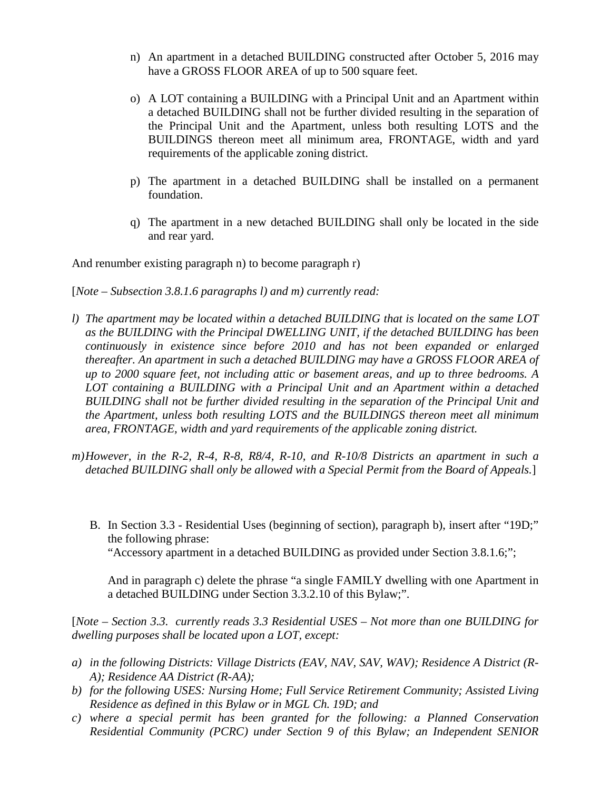- n) An apartment in a detached BUILDING constructed after October 5, 2016 may have a GROSS FLOOR AREA of up to 500 square feet.
- o) A LOT containing a BUILDING with a Principal Unit and an Apartment within a detached BUILDING shall not be further divided resulting in the separation of the Principal Unit and the Apartment, unless both resulting LOTS and the BUILDINGS thereon meet all minimum area, FRONTAGE, width and yard requirements of the applicable zoning district.
- p) The apartment in a detached BUILDING shall be installed on a permanent foundation.
- q) The apartment in a new detached BUILDING shall only be located in the side and rear yard.

And renumber existing paragraph n) to become paragraph r)

[*Note – Subsection 3.8.1.6 paragraphs l) and m) currently read:* 

- *l) The apartment may be located within a detached BUILDING that is located on the same LOT as the BUILDING with the Principal DWELLING UNIT, if the detached BUILDING has been continuously in existence since before 2010 and has not been expanded or enlarged thereafter. An apartment in such a detached BUILDING may have a GROSS FLOOR AREA of up to 2000 square feet, not including attic or basement areas, and up to three bedrooms. A LOT containing a BUILDING with a Principal Unit and an Apartment within a detached BUILDING shall not be further divided resulting in the separation of the Principal Unit and the Apartment, unless both resulting LOTS and the BUILDINGS thereon meet all minimum area, FRONTAGE, width and yard requirements of the applicable zoning district.*
- *m)However, in the R-2, R-4, R-8, R8/4, R-10, and R-10/8 Districts an apartment in such a detached BUILDING shall only be allowed with a Special Permit from the Board of Appeals.*]
	- B. In Section 3.3 Residential Uses (beginning of section), paragraph b), insert after "19D;" the following phrase: "Accessory apartment in a detached BUILDING as provided under Section 3.8.1.6;";

And in paragraph c) delete the phrase "a single FAMILY dwelling with one Apartment in a detached BUILDING under Section 3.3.2.10 of this Bylaw;".

[*Note – Section 3.3. currently reads 3.3 Residential USES – Not more than one BUILDING for dwelling purposes shall be located upon a LOT, except:*

- a) in the following Districts: Village Districts (EAV, NAV, SAV, WAV); Residence A District (R-*A); Residence AA District (R-AA);*
- *b) for the following USES: Nursing Home; Full Service Retirement Community; Assisted Living Residence as defined in this Bylaw or in MGL Ch. 19D; and*
- *c) where a special permit has been granted for the following: a Planned Conservation Residential Community (PCRC) under Section 9 of this Bylaw; an Independent SENIOR*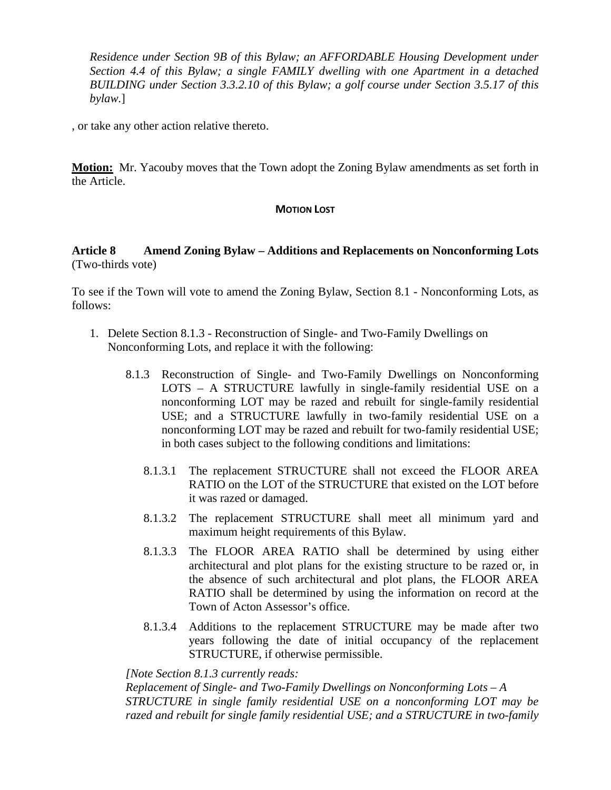*Residence under Section 9B of this Bylaw; an AFFORDABLE Housing Development under Section 4.4 of this Bylaw; a single FAMILY dwelling with one Apartment in a detached BUILDING under Section 3.3.2.10 of this Bylaw; a golf course under Section 3.5.17 of this bylaw.*]

, or take any other action relative thereto.

**Motion:** Mr. Yacouby moves that the Town adopt the Zoning Bylaw amendments as set forth in the Article.

### **MOTION LOST**

## **Article 8 Amend Zoning Bylaw – Additions and Replacements on Nonconforming Lots** (Two-thirds vote)

To see if the Town will vote to amend the Zoning Bylaw, Section 8.1 - Nonconforming Lots, as follows:

- 1. Delete Section 8.1.3 Reconstruction of Single- and Two-Family Dwellings on Nonconforming Lots, and replace it with the following:
	- 8.1.3 Reconstruction of Single- and Two-Family Dwellings on Nonconforming LOTS – A STRUCTURE lawfully in single-family residential USE on a nonconforming LOT may be razed and rebuilt for single-family residential USE; and a STRUCTURE lawfully in two-family residential USE on a nonconforming LOT may be razed and rebuilt for two-family residential USE; in both cases subject to the following conditions and limitations:
		- 8.1.3.1 The replacement STRUCTURE shall not exceed the FLOOR AREA RATIO on the LOT of the STRUCTURE that existed on the LOT before it was razed or damaged.
		- 8.1.3.2 The replacement STRUCTURE shall meet all minimum yard and maximum height requirements of this Bylaw.
		- 8.1.3.3 The FLOOR AREA RATIO shall be determined by using either architectural and plot plans for the existing structure to be razed or, in the absence of such architectural and plot plans, the FLOOR AREA RATIO shall be determined by using the information on record at the Town of Acton Assessor's office.
		- 8.1.3.4 Additions to the replacement STRUCTURE may be made after two years following the date of initial occupancy of the replacement STRUCTURE, if otherwise permissible.

*[Note Section 8.1.3 currently reads:*

*Replacement of Single- and Two-Family Dwellings on Nonconforming Lots – A STRUCTURE in single family residential USE on a nonconforming LOT may be razed and rebuilt for single family residential USE; and a STRUCTURE in two-family*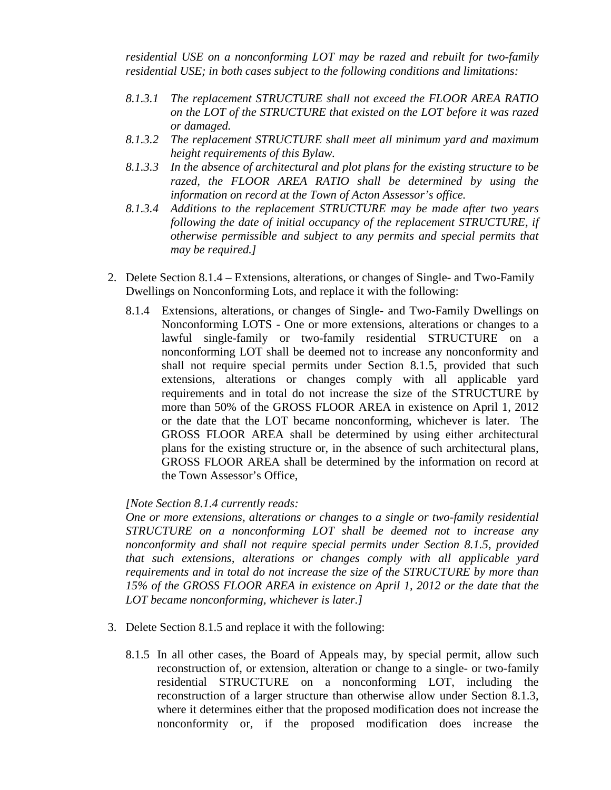*residential USE on a nonconforming LOT may be razed and rebuilt for two-family residential USE; in both cases subject to the following conditions and limitations:*

- *8.1.3.1 The replacement STRUCTURE shall not exceed the FLOOR AREA RATIO on the LOT of the STRUCTURE that existed on the LOT before it was razed or damaged.*
- *8.1.3.2 The replacement STRUCTURE shall meet all minimum yard and maximum height requirements of this Bylaw.*
- *8.1.3.3 In the absence of architectural and plot plans for the existing structure to be razed, the FLOOR AREA RATIO shall be determined by using the information on record at the Town of Acton Assessor's office.*
- *8.1.3.4 Additions to the replacement STRUCTURE may be made after two years following the date of initial occupancy of the replacement STRUCTURE, if otherwise permissible and subject to any permits and special permits that may be required.]*
- 2. Delete Section 8.1.4 Extensions, alterations, or changes of Single- and Two-Family Dwellings on Nonconforming Lots, and replace it with the following:
	- 8.1.4 Extensions, alterations, or changes of Single- and Two-Family Dwellings on Nonconforming LOTS - One or more extensions, alterations or changes to a lawful single-family or two-family residential STRUCTURE on a nonconforming LOT shall be deemed not to increase any nonconformity and shall not require special permits under Section 8.1.5, provided that such extensions, alterations or changes comply with all applicable yard requirements and in total do not increase the size of the STRUCTURE by more than 50% of the GROSS FLOOR AREA in existence on April 1, 2012 or the date that the LOT became nonconforming, whichever is later. The GROSS FLOOR AREA shall be determined by using either architectural plans for the existing structure or, in the absence of such architectural plans, GROSS FLOOR AREA shall be determined by the information on record at the Town Assessor's Office,

### *[Note Section 8.1.4 currently reads:*

*One or more extensions, alterations or changes to a single or two-family residential STRUCTURE on a nonconforming LOT shall be deemed not to increase any nonconformity and shall not require special permits under Section 8.1.5, provided that such extensions, alterations or changes comply with all applicable yard requirements and in total do not increase the size of the STRUCTURE by more than 15% of the GROSS FLOOR AREA in existence on April 1, 2012 or the date that the LOT became nonconforming, whichever is later.]*

- 3. Delete Section 8.1.5 and replace it with the following:
	- 8.1.5 In all other cases, the Board of Appeals may, by special permit, allow such reconstruction of, or extension, alteration or change to a single- or two-family residential STRUCTURE on a nonconforming LOT, including the reconstruction of a larger structure than otherwise allow under Section 8.1.3, where it determines either that the proposed modification does not increase the nonconformity or, if the proposed modification does increase the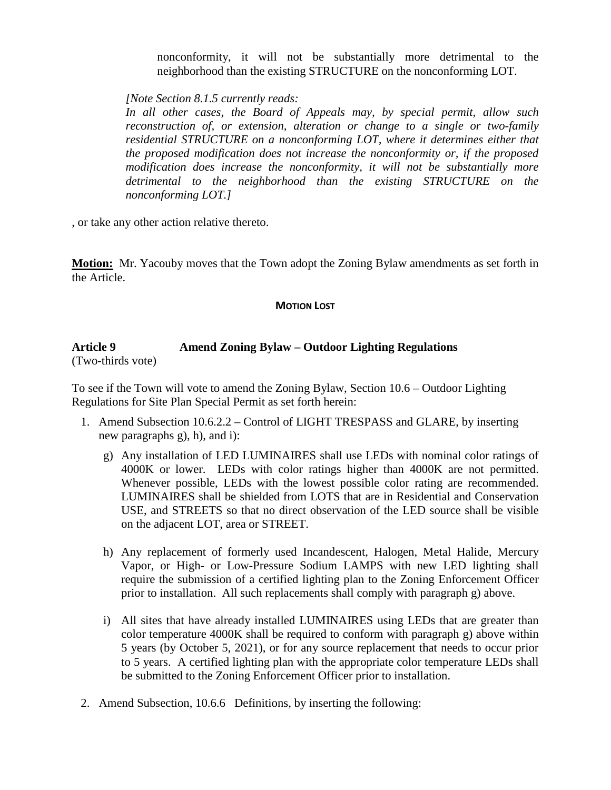nonconformity, it will not be substantially more detrimental to the neighborhood than the existing STRUCTURE on the nonconforming LOT.

*[Note Section 8.1.5 currently reads:*

*In all other cases, the Board of Appeals may, by special permit, allow such reconstruction of, or extension, alteration or change to a single or two-family residential STRUCTURE on a nonconforming LOT, where it determines either that the proposed modification does not increase the nonconformity or, if the proposed modification does increase the nonconformity, it will not be substantially more detrimental to the neighborhood than the existing STRUCTURE on the nonconforming LOT.]*

, or take any other action relative thereto.

**Motion:** Mr. Yacouby moves that the Town adopt the Zoning Bylaw amendments as set forth in the Article.

### **MOTION LOST**

# **Article 9 Amend Zoning Bylaw – Outdoor Lighting Regulations**

(Two-thirds vote)

To see if the Town will vote to amend the Zoning Bylaw, Section 10.6 – Outdoor Lighting Regulations for Site Plan Special Permit as set forth herein:

- 1. Amend Subsection 10.6.2.2 Control of LIGHT TRESPASS and GLARE, by inserting new paragraphs g), h), and i):
	- g) Any installation of LED LUMINAIRES shall use LEDs with nominal color ratings of 4000K or lower. LEDs with color ratings higher than 4000K are not permitted. Whenever possible, LEDs with the lowest possible color rating are recommended. LUMINAIRES shall be shielded from LOTS that are in Residential and Conservation USE, and STREETS so that no direct observation of the LED source shall be visible on the adjacent LOT, area or STREET.
	- h) Any replacement of formerly used Incandescent, Halogen, Metal Halide, Mercury Vapor, or High- or Low-Pressure Sodium LAMPS with new LED lighting shall require the submission of a certified lighting plan to the Zoning Enforcement Officer prior to installation. All such replacements shall comply with paragraph g) above.
	- i) All sites that have already installed LUMINAIRES using LEDs that are greater than color temperature 4000K shall be required to conform with paragraph g) above within 5 years (by October 5, 2021), or for any source replacement that needs to occur prior to 5 years. A certified lighting plan with the appropriate color temperature LEDs shall be submitted to the Zoning Enforcement Officer prior to installation.
- 2. Amend Subsection, 10.6.6 Definitions, by inserting the following: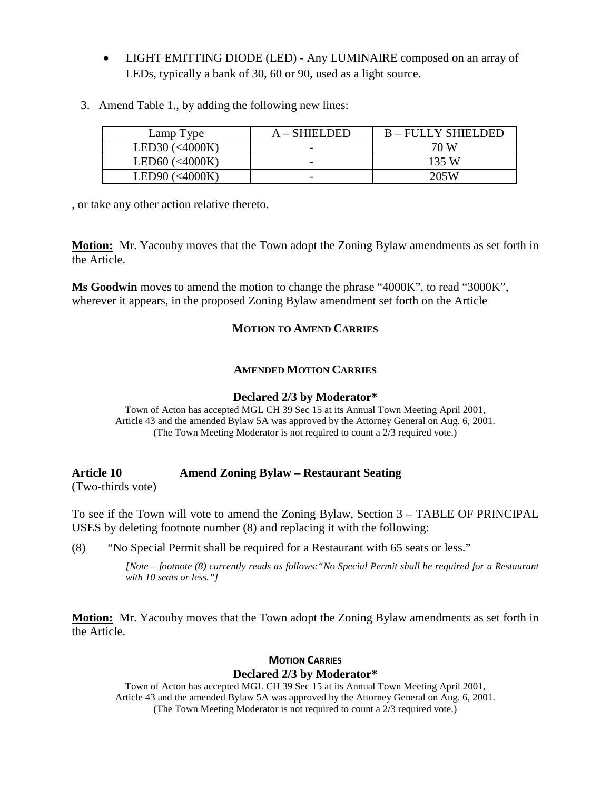- LIGHT EMITTING DIODE (LED) Any LUMINAIRE composed on an array of LEDs, typically a bank of 30, 60 or 90, used as a light source.
- 3. Amend Table 1., by adding the following new lines:

| Lamp Type       | $A - SHIELDED$ | <b>B-FULLY SHIELDED</b> |
|-----------------|----------------|-------------------------|
| LED30 $(4000K)$ |                | 70 W                    |
| LED60 $(4000K)$ |                | 135 W                   |
| LED90 $(4000K)$ |                | 205W                    |

, or take any other action relative thereto.

**Motion:** Mr. Yacouby moves that the Town adopt the Zoning Bylaw amendments as set forth in the Article.

**Ms Goodwin** moves to amend the motion to change the phrase "4000K", to read "3000K", wherever it appears, in the proposed Zoning Bylaw amendment set forth on the Article

## **MOTION TO AMEND CARRIES**

# **AMENDED MOTION CARRIES**

#### **Declared 2/3 by Moderator\***

Town of Acton has accepted MGL CH 39 Sec 15 at its Annual Town Meeting April 2001, Article 43 and the amended Bylaw 5A was approved by the Attorney General on Aug. 6, 2001. (The Town Meeting Moderator is not required to count a 2/3 required vote.)

# **Article 10 Amend Zoning Bylaw – Restaurant Seating**

(Two-thirds vote)

To see if the Town will vote to amend the Zoning Bylaw, Section 3 – TABLE OF PRINCIPAL USES by deleting footnote number (8) and replacing it with the following:

(8) "No Special Permit shall be required for a Restaurant with 65 seats or less."

*[Note – footnote (8) currently reads as follows:"No Special Permit shall be required for a Restaurant with 10 seats or less."]*

**Motion:** Mr. Yacouby moves that the Town adopt the Zoning Bylaw amendments as set forth in the Article.

## **MOTION CARRIES Declared 2/3 by Moderator\***

Town of Acton has accepted MGL CH 39 Sec 15 at its Annual Town Meeting April 2001, Article 43 and the amended Bylaw 5A was approved by the Attorney General on Aug. 6, 2001. (The Town Meeting Moderator is not required to count a 2/3 required vote.)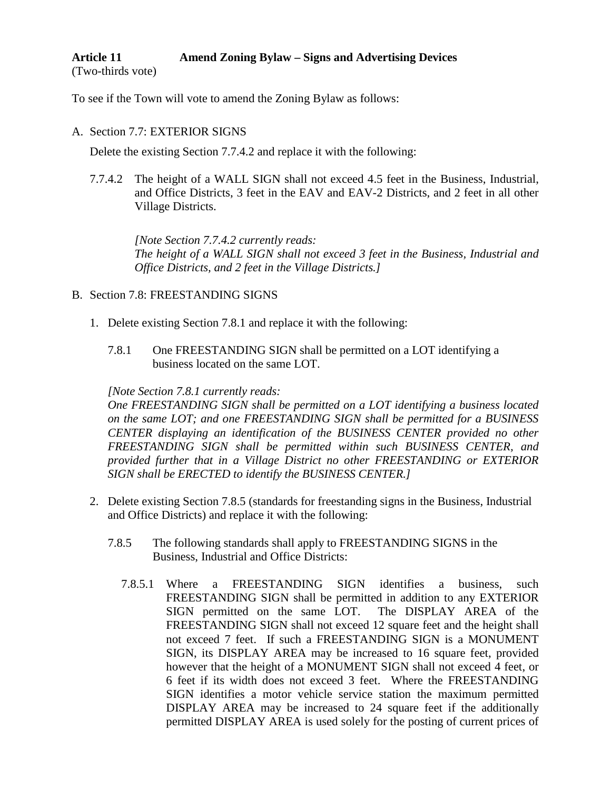#### **Article 11 Amend Zoning Bylaw – Signs and Advertising Devices** (Two-thirds vote)

To see if the Town will vote to amend the Zoning Bylaw as follows:

### A. Section 7.7: EXTERIOR SIGNS

Delete the existing Section 7.7.4.2 and replace it with the following:

7.7.4.2 The height of a WALL SIGN shall not exceed 4.5 feet in the Business, Industrial, and Office Districts, 3 feet in the EAV and EAV-2 Districts, and 2 feet in all other Village Districts.

*[Note Section 7.7.4.2 currently reads: The height of a WALL SIGN shall not exceed 3 feet in the Business, Industrial and Office Districts, and 2 feet in the Village Districts.]*

- B. Section 7.8: FREESTANDING SIGNS
	- 1. Delete existing Section 7.8.1 and replace it with the following:
		- 7.8.1 One FREESTANDING SIGN shall be permitted on a LOT identifying a business located on the same LOT.

### *[Note Section 7.8.1 currently reads:*

*One FREESTANDING SIGN shall be permitted on a LOT identifying a business located on the same LOT; and one FREESTANDING SIGN shall be permitted for a BUSINESS CENTER displaying an identification of the BUSINESS CENTER provided no other FREESTANDING SIGN shall be permitted within such BUSINESS CENTER, and provided further that in a Village District no other FREESTANDING or EXTERIOR SIGN shall be ERECTED to identify the BUSINESS CENTER.]*

- 2. Delete existing Section 7.8.5 (standards for freestanding signs in the Business, Industrial and Office Districts) and replace it with the following:
	- 7.8.5 The following standards shall apply to FREESTANDING SIGNS in the Business, Industrial and Office Districts:
		- 7.8.5.1 Where a FREESTANDING SIGN identifies a business, such FREESTANDING SIGN shall be permitted in addition to any EXTERIOR SIGN permitted on the same LOT. The DISPLAY AREA of the FREESTANDING SIGN shall not exceed 12 square feet and the height shall not exceed 7 feet. If such a FREESTANDING SIGN is a MONUMENT SIGN, its DISPLAY AREA may be increased to 16 square feet, provided however that the height of a MONUMENT SIGN shall not exceed 4 feet, or 6 feet if its width does not exceed 3 feet. Where the FREESTANDING SIGN identifies a motor vehicle service station the maximum permitted DISPLAY AREA may be increased to 24 square feet if the additionally permitted DISPLAY AREA is used solely for the posting of current prices of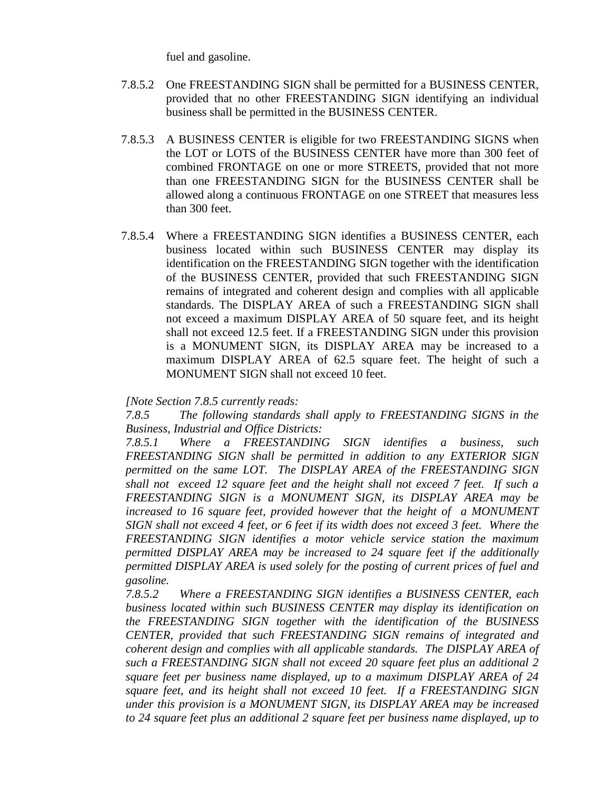fuel and gasoline.

- 7.8.5.2 One FREESTANDING SIGN shall be permitted for a BUSINESS CENTER, provided that no other FREESTANDING SIGN identifying an individual business shall be permitted in the BUSINESS CENTER.
- 7.8.5.3 A BUSINESS CENTER is eligible for two FREESTANDING SIGNS when the LOT or LOTS of the BUSINESS CENTER have more than 300 feet of combined FRONTAGE on one or more STREETS, provided that not more than one FREESTANDING SIGN for the BUSINESS CENTER shall be allowed along a continuous FRONTAGE on one STREET that measures less than 300 feet.
- 7.8.5.4 Where a FREESTANDING SIGN identifies a BUSINESS CENTER, each business located within such BUSINESS CENTER may display its identification on the FREESTANDING SIGN together with the identification of the BUSINESS CENTER, provided that such FREESTANDING SIGN remains of integrated and coherent design and complies with all applicable standards. The DISPLAY AREA of such a FREESTANDING SIGN shall not exceed a maximum DISPLAY AREA of 50 square feet, and its height shall not exceed 12.5 feet. If a FREESTANDING SIGN under this provision is a MONUMENT SIGN, its DISPLAY AREA may be increased to a maximum DISPLAY AREA of 62.5 square feet. The height of such a MONUMENT SIGN shall not exceed 10 feet.

### *[Note Section 7.8.5 currently reads:*

*7.8.5 The following standards shall apply to FREESTANDING SIGNS in the Business, Industrial and Office Districts:*

*7.8.5.1 Where a FREESTANDING SIGN identifies a business, such FREESTANDING SIGN shall be permitted in addition to any EXTERIOR SIGN permitted on the same LOT. The DISPLAY AREA of the FREESTANDING SIGN shall not exceed 12 square feet and the height shall not exceed 7 feet. If such a FREESTANDING SIGN is a MONUMENT SIGN, its DISPLAY AREA may be increased to 16 square feet, provided however that the height of a MONUMENT SIGN shall not exceed 4 feet, or 6 feet if its width does not exceed 3 feet. Where the FREESTANDING SIGN identifies a motor vehicle service station the maximum permitted DISPLAY AREA may be increased to 24 square feet if the additionally permitted DISPLAY AREA is used solely for the posting of current prices of fuel and gasoline.*

*7.8.5.2 Where a FREESTANDING SIGN identifies a BUSINESS CENTER, each business located within such BUSINESS CENTER may display its identification on the FREESTANDING SIGN together with the identification of the BUSINESS CENTER, provided that such FREESTANDING SIGN remains of integrated and coherent design and complies with all applicable standards. The DISPLAY AREA of such a FREESTANDING SIGN shall not exceed 20 square feet plus an additional 2 square feet per business name displayed, up to a maximum DISPLAY AREA of 24 square feet, and its height shall not exceed 10 feet. If a FREESTANDING SIGN under this provision is a MONUMENT SIGN, its DISPLAY AREA may be increased to 24 square feet plus an additional 2 square feet per business name displayed, up to*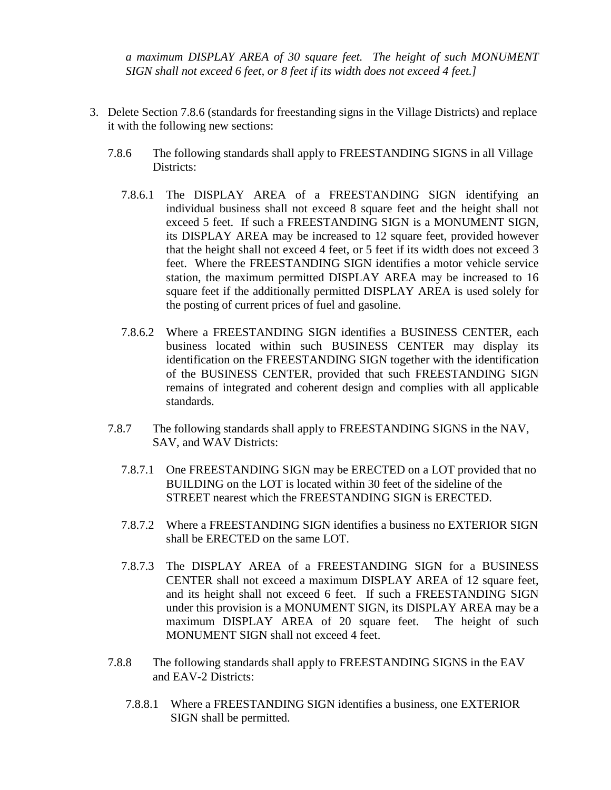*a maximum DISPLAY AREA of 30 square feet. The height of such MONUMENT SIGN shall not exceed 6 feet, or 8 feet if its width does not exceed 4 feet.]*

- 3. Delete Section 7.8.6 (standards for freestanding signs in the Village Districts) and replace it with the following new sections:
	- 7.8.6 The following standards shall apply to FREESTANDING SIGNS in all Village Districts:
		- 7.8.6.1 The DISPLAY AREA of a FREESTANDING SIGN identifying an individual business shall not exceed 8 square feet and the height shall not exceed 5 feet. If such a FREESTANDING SIGN is a MONUMENT SIGN, its DISPLAY AREA may be increased to 12 square feet, provided however that the height shall not exceed 4 feet, or 5 feet if its width does not exceed 3 feet. Where the FREESTANDING SIGN identifies a motor vehicle service station, the maximum permitted DISPLAY AREA may be increased to 16 square feet if the additionally permitted DISPLAY AREA is used solely for the posting of current prices of fuel and gasoline.
		- 7.8.6.2 Where a FREESTANDING SIGN identifies a BUSINESS CENTER, each business located within such BUSINESS CENTER may display its identification on the FREESTANDING SIGN together with the identification of the BUSINESS CENTER, provided that such FREESTANDING SIGN remains of integrated and coherent design and complies with all applicable standards.
	- 7.8.7 The following standards shall apply to FREESTANDING SIGNS in the NAV, SAV, and WAV Districts:
		- 7.8.7.1 One FREESTANDING SIGN may be ERECTED on a LOT provided that no BUILDING on the LOT is located within 30 feet of the sideline of the STREET nearest which the FREESTANDING SIGN is ERECTED.
		- 7.8.7.2 Where a FREESTANDING SIGN identifies a business no EXTERIOR SIGN shall be ERECTED on the same LOT.
		- 7.8.7.3 The DISPLAY AREA of a FREESTANDING SIGN for a BUSINESS CENTER shall not exceed a maximum DISPLAY AREA of 12 square feet, and its height shall not exceed 6 feet. If such a FREESTANDING SIGN under this provision is a MONUMENT SIGN, its DISPLAY AREA may be a maximum DISPLAY AREA of 20 square feet. The height of such MONUMENT SIGN shall not exceed 4 feet.
	- 7.8.8 The following standards shall apply to FREESTANDING SIGNS in the EAV and EAV-2 Districts:
		- 7.8.8.1 Where a FREESTANDING SIGN identifies a business, one EXTERIOR SIGN shall be permitted.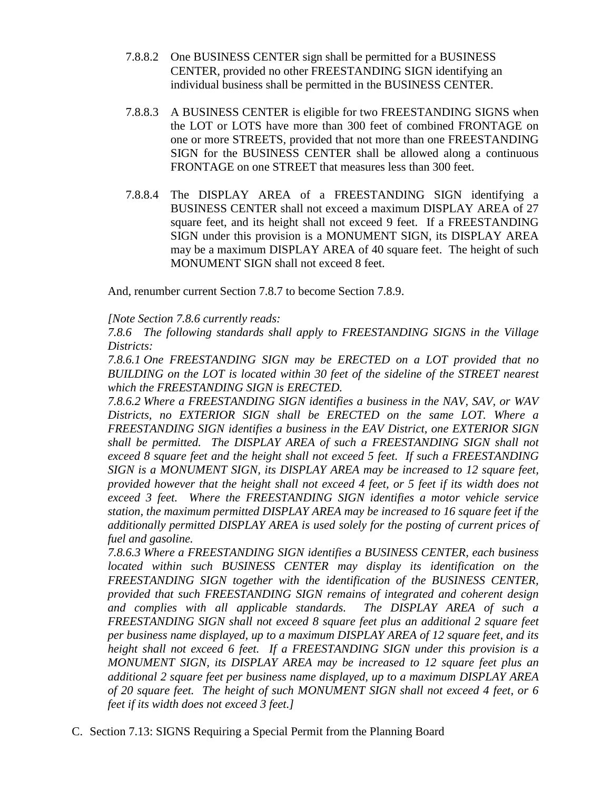- 7.8.8.2 One BUSINESS CENTER sign shall be permitted for a BUSINESS CENTER, provided no other FREESTANDING SIGN identifying an individual business shall be permitted in the BUSINESS CENTER.
- 7.8.8.3 A BUSINESS CENTER is eligible for two FREESTANDING SIGNS when the LOT or LOTS have more than 300 feet of combined FRONTAGE on one or more STREETS, provided that not more than one FREESTANDING SIGN for the BUSINESS CENTER shall be allowed along a continuous FRONTAGE on one STREET that measures less than 300 feet.
- 7.8.8.4 The DISPLAY AREA of a FREESTANDING SIGN identifying a BUSINESS CENTER shall not exceed a maximum DISPLAY AREA of 27 square feet, and its height shall not exceed 9 feet. If a FREESTANDING SIGN under this provision is a MONUMENT SIGN, its DISPLAY AREA may be a maximum DISPLAY AREA of 40 square feet. The height of such MONUMENT SIGN shall not exceed 8 feet.

And, renumber current Section 7.8.7 to become Section 7.8.9.

## *[Note Section 7.8.6 currently reads:*

*7.8.6 The following standards shall apply to FREESTANDING SIGNS in the Village Districts:*

*7.8.6.1 One FREESTANDING SIGN may be ERECTED on a LOT provided that no BUILDING on the LOT is located within 30 feet of the sideline of the STREET nearest which the FREESTANDING SIGN is ERECTED.*

*7.8.6.2 Where a FREESTANDING SIGN identifies a business in the NAV, SAV, or WAV Districts, no EXTERIOR SIGN shall be ERECTED on the same LOT. Where a FREESTANDING SIGN identifies a business in the EAV District, one EXTERIOR SIGN shall be permitted. The DISPLAY AREA of such a FREESTANDING SIGN shall not exceed 8 square feet and the height shall not exceed 5 feet. If such a FREESTANDING SIGN is a MONUMENT SIGN, its DISPLAY AREA may be increased to 12 square feet, provided however that the height shall not exceed 4 feet, or 5 feet if its width does not exceed 3 feet. Where the FREESTANDING SIGN identifies a motor vehicle service station, the maximum permitted DISPLAY AREA may be increased to 16 square feet if the additionally permitted DISPLAY AREA is used solely for the posting of current prices of fuel and gasoline.*

*7.8.6.3 Where a FREESTANDING SIGN identifies a BUSINESS CENTER, each business located within such BUSINESS CENTER may display its identification on the FREESTANDING SIGN together with the identification of the BUSINESS CENTER, provided that such FREESTANDING SIGN remains of integrated and coherent design and complies with all applicable standards. The DISPLAY AREA of such a FREESTANDING SIGN shall not exceed 8 square feet plus an additional 2 square feet per business name displayed, up to a maximum DISPLAY AREA of 12 square feet, and its height shall not exceed 6 feet. If a FREESTANDING SIGN under this provision is a MONUMENT SIGN, its DISPLAY AREA may be increased to 12 square feet plus an additional 2 square feet per business name displayed, up to a maximum DISPLAY AREA of 20 square feet. The height of such MONUMENT SIGN shall not exceed 4 feet, or 6 feet if its width does not exceed 3 feet.]*